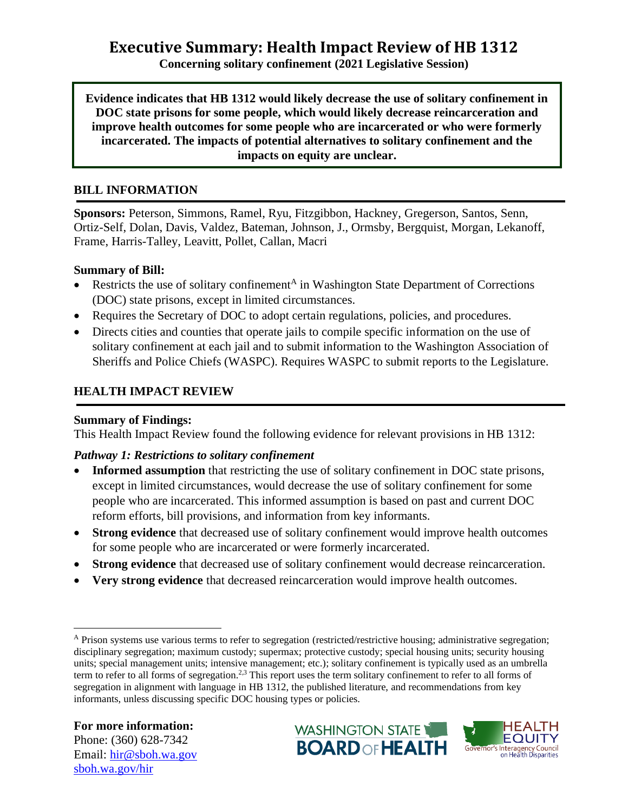# **Executive Summary: Health Impact Review of HB 1312**

**Concerning solitary confinement (2021 Legislative Session)**

**Evidence indicates that HB 1312 would likely decrease the use of solitary confinement in DOC state prisons for some people, which would likely decrease reincarceration and improve health outcomes for some people who are incarcerated or who were formerly incarcerated. The impacts of potential alternatives to solitary confinement and the impacts on equity are unclear.**

#### **BILL INFORMATION**

**Sponsors:** Peterson, Simmons, Ramel, Ryu, Fitzgibbon, Hackney, Gregerson, Santos, Senn, Ortiz-Self, Dolan, Davis, Valdez, Bateman, Johnson, J., Ormsby, Bergquist, Morgan, Lekanoff, Frame, Harris-Talley, Leavitt, Pollet, Callan, Macri

#### **Summary of Bill:**

- Restricts the use of solitary confinement<sup>A</sup> in Washington State Department of Corrections (DOC) state prisons, except in limited circumstances.
- Requires the Secretary of DOC to adopt certain regulations, policies, and procedures.
- Directs cities and counties that operate jails to compile specific information on the use of solitary confinement at each jail and to submit information to the Washington Association of Sheriffs and Police Chiefs (WASPC). Requires WASPC to submit reports to the Legislature.

### **HEALTH IMPACT REVIEW**

#### **Summary of Findings:**

This Health Impact Review found the following evidence for relevant provisions in HB 1312:

#### *Pathway 1: Restrictions to solitary confinement*

- **Informed assumption** that restricting the use of solitary confinement in DOC state prisons, except in limited circumstances, would decrease the use of solitary confinement for some people who are incarcerated. This informed assumption is based on past and current DOC reform efforts, bill provisions, and information from key informants.
- **Strong evidence** that decreased use of solitary confinement would improve health outcomes for some people who are incarcerated or were formerly incarcerated.
- **Strong evidence** that decreased use of solitary confinement would decrease reincarceration.
- **Very strong evidence** that decreased reincarceration would improve health outcomes.





<sup>A</sup> Prison systems use various terms to refer to segregation (restricted/restrictive housing; administrative segregation; disciplinary segregation; maximum custody; supermax; protective custody; special housing units; security housing units; special management units; intensive management; etc.); solitary confinement is typically used as an umbrella term to refer to all forms of segregation.<sup>2,3</sup> This report uses the term solitary confinement to refer to all forms of segregation in alignment with language in HB 1312, the published literature, and recommendations from key informants, unless discussing specific DOC housing types or policies.